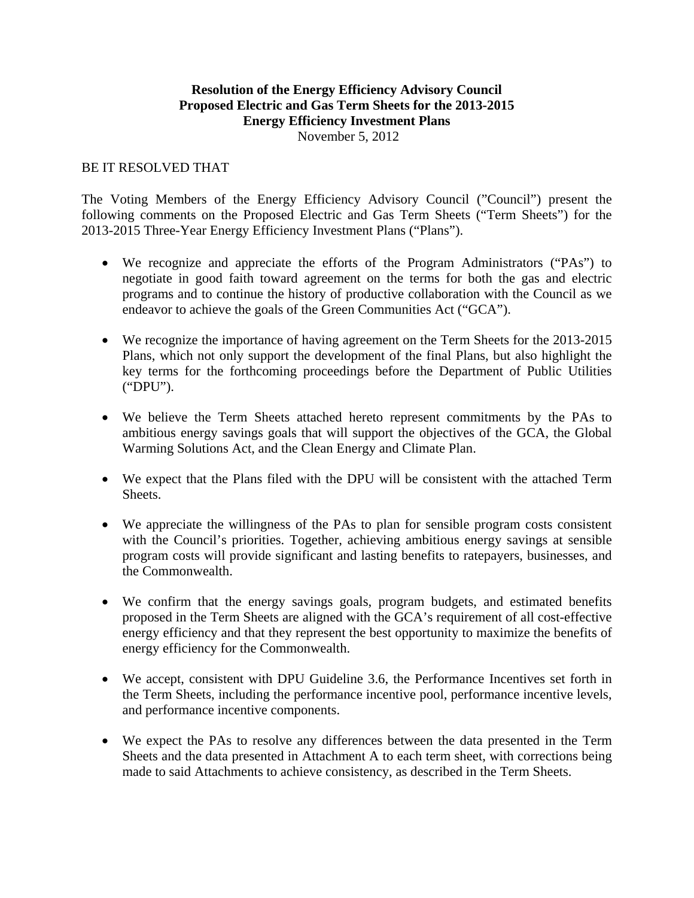## **Resolution of the Energy Efficiency Advisory Council Proposed Electric and Gas Term Sheets for the 2013-2015 Energy Efficiency Investment Plans**

November 5, 2012

## BE IT RESOLVED THAT

The Voting Members of the Energy Efficiency Advisory Council ("Council") present the following comments on the Proposed Electric and Gas Term Sheets ("Term Sheets") for the 2013-2015 Three-Year Energy Efficiency Investment Plans ("Plans").

- We recognize and appreciate the efforts of the Program Administrators ("PAs") to negotiate in good faith toward agreement on the terms for both the gas and electric programs and to continue the history of productive collaboration with the Council as we endeavor to achieve the goals of the Green Communities Act ("GCA").
- We recognize the importance of having agreement on the Term Sheets for the 2013-2015 Plans, which not only support the development of the final Plans, but also highlight the key terms for the forthcoming proceedings before the Department of Public Utilities ("DPU").
- We believe the Term Sheets attached hereto represent commitments by the PAs to ambitious energy savings goals that will support the objectives of the GCA, the Global Warming Solutions Act, and the Clean Energy and Climate Plan.
- We expect that the Plans filed with the DPU will be consistent with the attached Term Sheets.
- We appreciate the willingness of the PAs to plan for sensible program costs consistent with the Council's priorities. Together, achieving ambitious energy savings at sensible program costs will provide significant and lasting benefits to ratepayers, businesses, and the Commonwealth.
- We confirm that the energy savings goals, program budgets, and estimated benefits proposed in the Term Sheets are aligned with the GCA's requirement of all cost-effective energy efficiency and that they represent the best opportunity to maximize the benefits of energy efficiency for the Commonwealth.
- We accept, consistent with DPU Guideline 3.6, the Performance Incentives set forth in the Term Sheets, including the performance incentive pool, performance incentive levels, and performance incentive components.
- We expect the PAs to resolve any differences between the data presented in the Term Sheets and the data presented in Attachment A to each term sheet, with corrections being made to said Attachments to achieve consistency, as described in the Term Sheets.